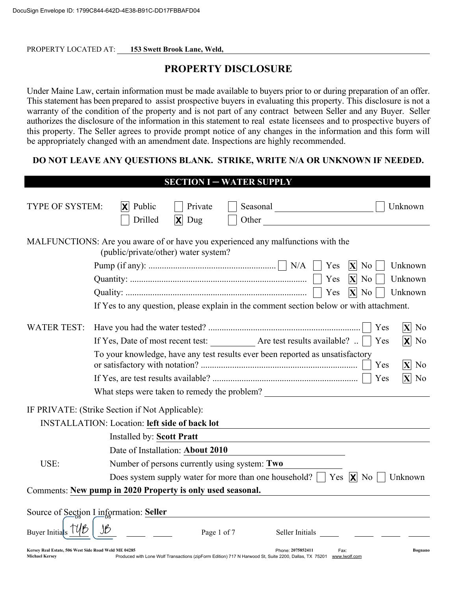PROPERTY LOCATED AT: 153 Swett Brook Lane, Weld,

# **PROPERTY DISCLOSURE**

Under Maine Law, certain information must be made available to buyers prior to or during preparation of an offer. This statement has been prepared to assist prospective buyers in evaluating this property. This disclosure is not a warranty of the condition of the property and is not part of any contract between Seller and any Buyer. Seller authorizes the disclosure of the information in this statement to real estate licensees and to prospective buyers of this property. The Seller agrees to provide prompt notice of any changes in the information and this form will be appropriately changed with an amendment date. Inspections are highly recommended.

#### DO NOT LEAVE ANY QUESTIONS BLANK. STRIKE, WRITE N/A OR UNKNOWN IF NEEDED.

|                                                                               | <b>SECTION I - WATER SUPPLY</b>                                                                                                                                                                                                                                                                   |
|-------------------------------------------------------------------------------|---------------------------------------------------------------------------------------------------------------------------------------------------------------------------------------------------------------------------------------------------------------------------------------------------|
| TYPE OF SYSTEM:                                                               | Public<br>Private<br>Unknown<br>$ \mathsf{x} $<br>Drilled<br>Dug<br>Other and the contract of the contract of the contract of the contract of the contract of the contract of the contract of the contract of the contract of the contract of the contract of the contract of the contract of the |
|                                                                               | MALFUNCTIONS: Are you aware of or have you experienced any malfunctions with the<br>(public/private/other) water system?                                                                                                                                                                          |
|                                                                               | Yes<br>Unknown<br>$ \mathbf{X} $<br>No                                                                                                                                                                                                                                                            |
|                                                                               | $ \mathbf{X} $<br>Unknown<br>Yes<br>N <sub>o</sub>                                                                                                                                                                                                                                                |
|                                                                               | $ X $ No<br>Yes<br>Unknown                                                                                                                                                                                                                                                                        |
|                                                                               | If Yes to any question, please explain in the comment section below or with attachment.                                                                                                                                                                                                           |
| WATER TEST:                                                                   | Yes<br>$\overline{\mathbf{X}}$<br>N <sub>0</sub>                                                                                                                                                                                                                                                  |
|                                                                               | Yes<br>ΙXΙ<br>N <sub>0</sub>                                                                                                                                                                                                                                                                      |
|                                                                               | To your knowledge, have any test results ever been reported as unsatisfactory<br>Yes<br>N <sub>0</sub><br>$ \mathbf{X} $                                                                                                                                                                          |
|                                                                               | Yes<br>N <sub>0</sub><br>$ \mathbf{X} $                                                                                                                                                                                                                                                           |
|                                                                               | What steps were taken to remedy the problem?                                                                                                                                                                                                                                                      |
|                                                                               | IF PRIVATE: (Strike Section if Not Applicable):                                                                                                                                                                                                                                                   |
|                                                                               | <b>INSTALLATION: Location: left side of back lot</b>                                                                                                                                                                                                                                              |
|                                                                               | Installed by: Scott Pratt                                                                                                                                                                                                                                                                         |
|                                                                               | Date of Installation: About 2010                                                                                                                                                                                                                                                                  |
| USE:                                                                          | Number of persons currently using system: Two                                                                                                                                                                                                                                                     |
|                                                                               | Does system supply water for more than one household? $\parallel$ Yes $\parallel \mathbf{X} \parallel$ No<br>Unknown                                                                                                                                                                              |
|                                                                               | Comments: New pump in 2020 Property is only used seasonal.                                                                                                                                                                                                                                        |
|                                                                               | Source of Section I information: Seller                                                                                                                                                                                                                                                           |
| Buyer Initials                                                                | Page 1 of 7<br>Seller Initials                                                                                                                                                                                                                                                                    |
| Kersey Real Estate, 506 West Side Road Weld ME 04285<br><b>Michael Kersey</b> | Phone: 2075852411<br>Bognano<br>Fax:<br>Produced with Lone Wolf Transactions (zipForm Edition) 717 N Harwood St, Suite 2200, Dallas, TX 75201 www.lwolf.com                                                                                                                                       |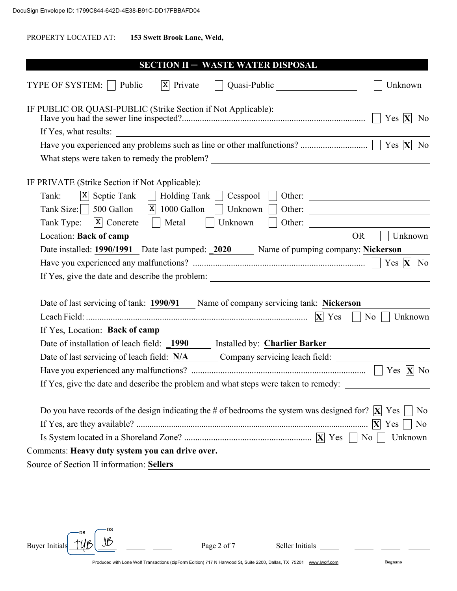| PROPERTY LOCATED AT: 153 Swett Brook Lane, Weld,                                                                                                                      |
|-----------------------------------------------------------------------------------------------------------------------------------------------------------------------|
| <b>SECTION II - WASTE WATER DISPOSAL</b>                                                                                                                              |
| $ X $ Private<br>TYPE OF SYSTEM:   Public<br>Quasi-Public<br>Unknown                                                                                                  |
| IF PUBLIC OR QUASI-PUBLIC (Strike Section if Not Applicable):<br>N <sub>0</sub>                                                                                       |
|                                                                                                                                                                       |
| Yes $ X $<br>N <sub>0</sub>                                                                                                                                           |
|                                                                                                                                                                       |
|                                                                                                                                                                       |
| IF PRIVATE (Strike Section if Not Applicable):                                                                                                                        |
| Tank:<br>$ X $ Septic Tank<br>Holding Tank<br>Cesspool<br>Other:<br>$\sim 1$                                                                                          |
| Tank Size:     500 Gallon<br>$ X $ 1000 Gallon<br>Unknown<br>Other:                                                                                                   |
| $ X $ Concrete<br>Other:<br>Tank Type:<br>    Metal<br>Unknown                                                                                                        |
| Location: Back of camp<br><b>OR</b><br>Unknown<br><u> 1989 - Johann Barn, mars eta bainar eta baina eta baina eta baina eta baina eta baina eta baina eta baina e</u> |
| Date installed: 1990/1991 Date last pumped: 2020 Name of pumping company: Nickerson                                                                                   |
|                                                                                                                                                                       |
|                                                                                                                                                                       |
|                                                                                                                                                                       |
| Date of last servicing of tank: 1990/91 Name of company servicing tank: Nickerson                                                                                     |
| N <sub>o</sub><br>Unknown                                                                                                                                             |
| If Yes, Location: Back of camp                                                                                                                                        |
| Date of installation of leach field: 1990 Installed by: Charlier Barker                                                                                               |
| Date of last servicing of leach field: N/A Company servicing leach field:                                                                                             |
|                                                                                                                                                                       |
| If Yes, give the date and describe the problem and what steps were taken to remedy:                                                                                   |
| Do you have records of the design indicating the # of bedrooms the system was designed for? $ \mathbf{X} $ Yes<br>N <sub>0</sub><br>N <sub>o</sub>                    |
| Unknown                                                                                                                                                               |
| Comments: Heavy duty system you can drive over.                                                                                                                       |
| Source of Section II information: Sellers                                                                                                                             |
| <u> 1980 - Johann Stein, marwolaethau a bhann an t-Amhair ann an t-Amhair an t-Amhair an t-Amhair an t-Amhair an</u>                                                  |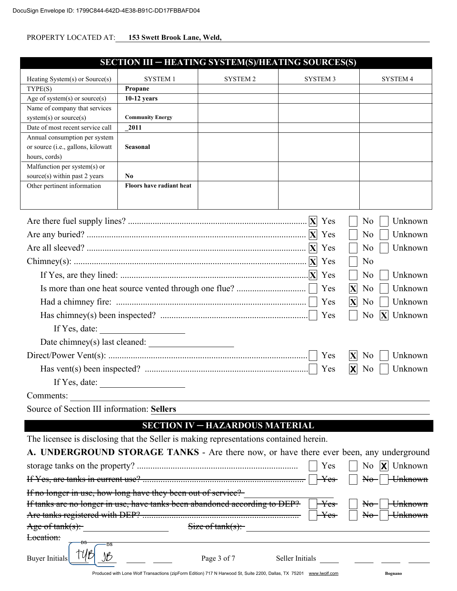| PROPERTY LOCATED AT: | 153 Swett Brook Lane, Weld, |  |
|----------------------|-----------------------------|--|

|                                                                                        | <b>SECTION III – HEATING SYSTEM(S)/HEATING SOURCES(S)</b>                                                           |                                        |                         |                                                                   |
|----------------------------------------------------------------------------------------|---------------------------------------------------------------------------------------------------------------------|----------------------------------------|-------------------------|-------------------------------------------------------------------|
| Heating System(s) or Source(s)                                                         | <b>SYSTEM 1</b>                                                                                                     | <b>SYSTEM 2</b>                        | <b>SYSTEM 3</b>         | <b>SYSTEM 4</b>                                                   |
| TYPE(S)                                                                                | Propane                                                                                                             |                                        |                         |                                                                   |
| Age of system(s) or source(s)                                                          | $10-12$ years                                                                                                       |                                        |                         |                                                                   |
| Name of company that services                                                          |                                                                                                                     |                                        |                         |                                                                   |
| $system(s)$ or source $(s)$                                                            | <b>Community Energy</b>                                                                                             |                                        |                         |                                                                   |
| Date of most recent service call                                                       | 2011                                                                                                                |                                        |                         |                                                                   |
| Annual consumption per system                                                          |                                                                                                                     |                                        |                         |                                                                   |
| or source (i.e., gallons, kilowatt                                                     | <b>Seasonal</b>                                                                                                     |                                        |                         |                                                                   |
| hours, cords)                                                                          |                                                                                                                     |                                        |                         |                                                                   |
| Malfunction per system(s) or                                                           |                                                                                                                     |                                        |                         |                                                                   |
| source(s) within past 2 years                                                          | N <sub>0</sub>                                                                                                      |                                        |                         |                                                                   |
| Other pertinent information                                                            | Floors have radiant heat                                                                                            |                                        |                         |                                                                   |
|                                                                                        |                                                                                                                     |                                        |                         |                                                                   |
|                                                                                        |                                                                                                                     |                                        |                         | Unknown<br>N <sub>0</sub>                                         |
|                                                                                        |                                                                                                                     |                                        |                         |                                                                   |
|                                                                                        |                                                                                                                     |                                        | Yes                     | N <sub>o</sub><br>Unknown                                         |
|                                                                                        |                                                                                                                     |                                        |                         | Unknown<br>N <sub>o</sub>                                         |
|                                                                                        |                                                                                                                     |                                        | Yes                     | N <sub>o</sub>                                                    |
|                                                                                        |                                                                                                                     |                                        |                         | N <sub>o</sub><br>Unknown                                         |
|                                                                                        |                                                                                                                     |                                        | Yes<br>$ \mathbf{X} $   | Unknown<br>N <sub>0</sub>                                         |
|                                                                                        |                                                                                                                     |                                        | $ \mathbf{X} $<br>Yes   | Unknown<br>N <sub>0</sub>                                         |
| Yes<br>N <sub>0</sub><br>$ \mathbf{X} $                                                |                                                                                                                     |                                        |                         | Unknown                                                           |
| If Yes, date:                                                                          |                                                                                                                     |                                        |                         |                                                                   |
|                                                                                        |                                                                                                                     |                                        |                         |                                                                   |
|                                                                                        |                                                                                                                     |                                        | Yes<br>$ \mathbf{X} $   | N <sub>0</sub><br>Unknown                                         |
|                                                                                        |                                                                                                                     |                                        | Yes<br>$ \mathsf{X} $   | Unknown<br>N <sub>0</sub>                                         |
|                                                                                        | If Yes, date: $\qquad \qquad$                                                                                       |                                        |                         |                                                                   |
| Comments:                                                                              |                                                                                                                     |                                        |                         |                                                                   |
| Source of Section III information: Sellers                                             |                                                                                                                     |                                        |                         |                                                                   |
|                                                                                        |                                                                                                                     | <b>SECTION IV - HAZARDOUS MATERIAL</b> |                         |                                                                   |
| The licensee is disclosing that the Seller is making representations contained herein. |                                                                                                                     |                                        |                         |                                                                   |
| A. UNDERGROUND STORAGE TANKS - Are there now, or have there ever been, any underground |                                                                                                                     |                                        |                         |                                                                   |
|                                                                                        |                                                                                                                     |                                        | Yes                     | N <sub>o</sub><br>$ \mathbf{X} $<br>Unknown                       |
|                                                                                        |                                                                                                                     |                                        | $\rm\,Yes$              | <del>Unknown</del><br>$A\Theta$                                   |
| If no longer in use, how long have they been out of service?                           |                                                                                                                     |                                        |                         |                                                                   |
| If tanks are no longer in use, have tanks been abandoned according to DEP?             |                                                                                                                     |                                        | $\rm\,Yes$<br>$\rm Yes$ | $\mathbb{H}_{\theta}$<br><del>Unknown</del><br><del>Unknown</del> |
|                                                                                        |                                                                                                                     |                                        |                         | $A\Theta$                                                         |
| $Age\ of\ tank(s)$ :<br>Location:                                                      |                                                                                                                     | $Size of tank(s)$ :                    |                         |                                                                   |
| ۰DS<br><b>Buyer Initials</b>                                                           |                                                                                                                     | Page 3 of 7                            | Seller Initials         |                                                                   |
|                                                                                        | Produced with Lone Wolf Transactions (zipForm Edition) 717 N Harwood St, Suite 2200, Dallas, TX 75201 www.lwolf.com |                                        |                         | Bognano                                                           |
|                                                                                        |                                                                                                                     |                                        |                         |                                                                   |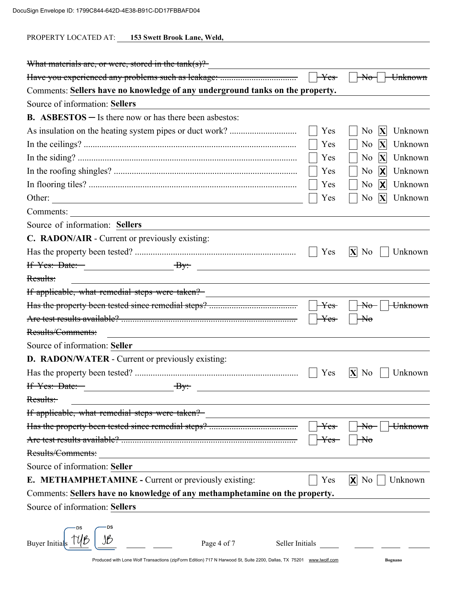PROPERTY LOCATED AT: 153 Swett Brook Lane, Weld,

| What materials are, or were, stored in the $\text{tank}(s)$ ?                                                       |                  |                                             |
|---------------------------------------------------------------------------------------------------------------------|------------------|---------------------------------------------|
|                                                                                                                     | $\rm\,Yes$       | $\del{\pi}$<br><del>Unknown</del>           |
| Comments: Sellers have no knowledge of any underground tanks on the property.                                       |                  |                                             |
| Source of information: Sellers                                                                                      |                  |                                             |
| <b>B.</b> ASBESTOS $-$ Is there now or has there been asbestos:                                                     |                  |                                             |
|                                                                                                                     | Yes              | X<br>N <sub>0</sub><br>Unknown              |
|                                                                                                                     | Yes              | X<br>Unknown<br>N <sub>0</sub>              |
|                                                                                                                     | Yes              | X<br>No<br>Unknown                          |
|                                                                                                                     | Yes              | $\mathbf x$<br>Unknown<br>N <sub>0</sub>    |
|                                                                                                                     | Yes              | $\mathbf{x}$<br>N <sub>0</sub><br>Unknown   |
| Other:                                                                                                              | Yes              | Unknown<br>N <sub>0</sub><br>X              |
| Comments:<br>the control of the control of the control of the control of the control of                             |                  |                                             |
| Source of information: Sellers                                                                                      |                  |                                             |
| C. RADON/AIR - Current or previously existing:                                                                      |                  |                                             |
|                                                                                                                     | Yes              | $ X $ No<br>Unknown                         |
| If Yes: Date: $By$ :<br><u> 1990 - John Stein, Amerikaansk politiker (</u>                                          |                  |                                             |
| Results:                                                                                                            |                  |                                             |
| If applicable, what remedial steps were taken?                                                                      |                  |                                             |
|                                                                                                                     | $\mathrm{Yes}\,$ | Unknown<br>$\theta$                         |
|                                                                                                                     | <del>Yes</del>   | $\rm{H}\sigma$                              |
| Results/Comments:<br>the control of the control of the control of the control of the control of the control of      |                  |                                             |
| Source of information: Seller                                                                                       |                  |                                             |
| <b>D. RADON/WATER</b> - Current or previously existing:                                                             |                  |                                             |
|                                                                                                                     | Yes              | $ \mathbf{X} $<br>Unknown<br>N <sub>0</sub> |
| <del>If Yes: Date:</del>                                                                                            |                  |                                             |
| Results:                                                                                                            |                  |                                             |
| If applicable, what remedial steps were taken?                                                                      |                  |                                             |
|                                                                                                                     |                  | <del>Unknown</del>                          |
|                                                                                                                     |                  |                                             |
| Results/Comments:                                                                                                   |                  |                                             |
| Source of information: Seller                                                                                       |                  |                                             |
| <b>E. METHAMPHETAMINE - Current or previously existing:</b>                                                         | Yes              | $ X $ No<br>Unknown                         |
| Comments: Sellers have no knowledge of any methamphetamine on the property.                                         |                  |                                             |
| Source of information: Sellers                                                                                      |                  |                                             |
|                                                                                                                     |                  |                                             |
| <b>Buyer Initia</b><br>Page 4 of 7<br>Seller Initials                                                               |                  |                                             |
| Produced with Lone Wolf Transactions (zipForm Edition) 717 N Harwood St, Suite 2200, Dallas, TX 75201 www.lwolf.com |                  | <b>Bognano</b>                              |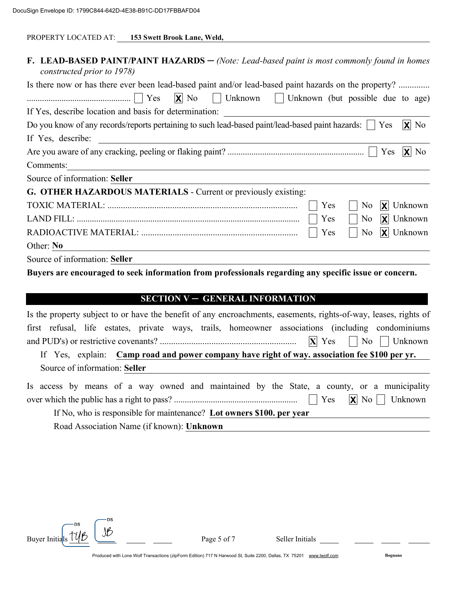| PROPERTY LOCATED AT: | 153 Swett Brook Lane, Weld, |
|----------------------|-----------------------------|
|                      |                             |

| <b>F. LEAD-BASED PAINT/PAINT HAZARDS</b> $-$ (Note: Lead-based paint is most commonly found in homes<br>constructed prior to 1978)                                                                                                                                                                                                           |  |
|----------------------------------------------------------------------------------------------------------------------------------------------------------------------------------------------------------------------------------------------------------------------------------------------------------------------------------------------|--|
| Is there now or has there ever been lead-based paint and/or lead-based paint hazards on the property?                                                                                                                                                                                                                                        |  |
| $\ldots$ $\ldots$ $\ldots$ $\ldots$ $\ldots$ $\ldots$ $\ldots$ $\ldots$ $\ldots$ $\ldots$ $\ldots$ $\ldots$ $\ldots$ $\ldots$ $\ldots$ $\ldots$ $\ldots$ $\ldots$ $\ldots$ $\ldots$ $\ldots$ $\ldots$ $\ldots$ $\ldots$ $\ldots$ $\ldots$ $\ldots$ $\ldots$ $\ldots$ $\ldots$ $\ldots$ $\ldots$ $\ldots$ $\ldots$ $\ldots$ $\ldots$ $\ldots$ |  |
| If Yes, describe location and basis for determination: __________________________                                                                                                                                                                                                                                                            |  |
| $ X $ No<br>Do you know of any records/reports pertaining to such lead-based paint/lead-based paint hazards:     Yes                                                                                                                                                                                                                         |  |
| If Yes, describe:                                                                                                                                                                                                                                                                                                                            |  |
| $ X $ No                                                                                                                                                                                                                                                                                                                                     |  |
| Comments:<br><u> 1980 - John Stein, Amerikaansk politiker (</u>                                                                                                                                                                                                                                                                              |  |
| Source of information: Seller                                                                                                                                                                                                                                                                                                                |  |
| G. OTHER HAZARDOUS MATERIALS - Current or previously existing:                                                                                                                                                                                                                                                                               |  |
| $ \mathbf{X} $ Unknown<br>Yes<br>N <sub>0</sub>                                                                                                                                                                                                                                                                                              |  |
| $ \mathbf{X} $ Unknown<br>Yes<br>$\overline{N_0}$                                                                                                                                                                                                                                                                                            |  |
| $ X $ Unknown<br>Yes<br>No                                                                                                                                                                                                                                                                                                                   |  |
| Other: No                                                                                                                                                                                                                                                                                                                                    |  |
| Source of information: Seller                                                                                                                                                                                                                                                                                                                |  |
| Buyers are encouraged to seek information from professionals regarding any specific issue or concern.                                                                                                                                                                                                                                        |  |

#### **SECTION V - GENERAL INFORMATION**

| Is the property subject to or have the benefit of any encroachments, easements, rights-of-way, leases, rights of |
|------------------------------------------------------------------------------------------------------------------|
| first refusal, life estates, private ways, trails, homeowner associations (including condominiums                |
|                                                                                                                  |
| If Yes, explain: Camp road and power company have right of way. association fee \$100 per yr.                    |
| Source of information: Seller                                                                                    |
| Is access by means of a way owned and maintained by the State, a county, or a municipality                       |
|                                                                                                                  |
| If No, who is responsible for maintenance? Lot owners \$100. per year                                            |
|                                                                                                                  |

Road Association Name (if known): Unknown



Page 5 of 7

Seller Initials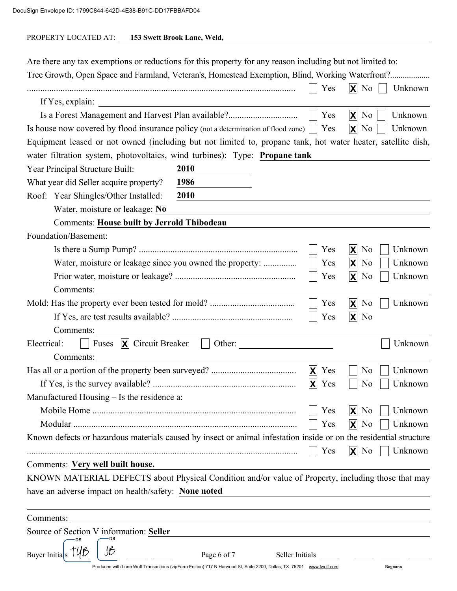| PROPERTY LOCATED AT: | 153 Swett Brook Lane, Weld, |
|----------------------|-----------------------------|
|                      |                             |

| Are there any tax exemptions or reductions for this property for any reason including but not limited to:<br>Tree Growth, Open Space and Farmland, Veteran's, Homestead Exemption, Blind, Working Waterfront? |                                                                                                                      |                       |                                                          |
|---------------------------------------------------------------------------------------------------------------------------------------------------------------------------------------------------------------|----------------------------------------------------------------------------------------------------------------------|-----------------------|----------------------------------------------------------|
|                                                                                                                                                                                                               |                                                                                                                      | Yes                   | $\mathsf{X}$ No<br>Unknown                               |
| If Yes, explain:                                                                                                                                                                                              | <u> 1980 - Johann Barbara, martxa alemaniar a</u>                                                                    |                       |                                                          |
| Is a Forest Management and Harvest Plan available?                                                                                                                                                            |                                                                                                                      | Yes                   | $\mathsf{X}$ No<br>Unknown                               |
| Is house now covered by flood insurance policy (not a determination of flood zone)                                                                                                                            |                                                                                                                      | Yes                   | $\mathsf{X}$ No<br>Unknown                               |
| Equipment leased or not owned (including but not limited to, propane tank, hot water heater, satellite dish,                                                                                                  |                                                                                                                      |                       |                                                          |
| water filtration system, photovoltaics, wind turbines): Type: Propane tank                                                                                                                                    |                                                                                                                      |                       |                                                          |
| Year Principal Structure Built:                                                                                                                                                                               | 2010                                                                                                                 |                       |                                                          |
| What year did Seller acquire property?                                                                                                                                                                        | 1986                                                                                                                 |                       |                                                          |
| Roof: Year Shingles/Other Installed:                                                                                                                                                                          | 2010                                                                                                                 |                       |                                                          |
| Water, moisture or leakage: No                                                                                                                                                                                |                                                                                                                      |                       |                                                          |
| <b>Comments: House built by Jerrold Thibodeau</b>                                                                                                                                                             |                                                                                                                      |                       |                                                          |
| Foundation/Basement:                                                                                                                                                                                          |                                                                                                                      |                       |                                                          |
|                                                                                                                                                                                                               |                                                                                                                      | Yes                   | $X$ No<br>Unknown                                        |
| Water, moisture or leakage since you owned the property:                                                                                                                                                      |                                                                                                                      | Yes                   | $\mathsf{X}$ No<br>Unknown                               |
|                                                                                                                                                                                                               |                                                                                                                      | Yes                   | $\mathsf{X}$ No<br>Unknown                               |
| Comments:                                                                                                                                                                                                     |                                                                                                                      |                       |                                                          |
|                                                                                                                                                                                                               |                                                                                                                      | Yes                   | $\mathsf{X}$ No<br>Unknown                               |
|                                                                                                                                                                                                               |                                                                                                                      | Yes                   | $\mathsf{X}$ No                                          |
| Comments:                                                                                                                                                                                                     | <u> 1980 - Jan Barat, margaret eta politikaria (h. 1980).</u>                                                        |                       |                                                          |
| Fuses $\boxed{\mathbf{X}}$ Circuit Breaker $\boxed{\phantom{a}}$<br>Electrical:                                                                                                                               | Other:                                                                                                               |                       | Unknown                                                  |
| Comments:                                                                                                                                                                                                     | <u> 1989 - Johann Stein, marwolaethau a bhann an t-Amhainn an t-Amhainn an t-Amhainn an t-Amhainn an t-Amhainn a</u> |                       |                                                          |
|                                                                                                                                                                                                               |                                                                                                                      | X<br>Yes              | Unknown<br>N <sub>0</sub>                                |
|                                                                                                                                                                                                               |                                                                                                                      | $ \mathsf{X} $<br>Yes | Unknown<br>N <sub>0</sub>                                |
| Manufactured Housing – Is the residence a:                                                                                                                                                                    |                                                                                                                      |                       |                                                          |
|                                                                                                                                                                                                               |                                                                                                                      | Yes                   | $ \boldsymbol{\mathsf{X}} $<br>N <sub>0</sub><br>Unknown |
|                                                                                                                                                                                                               |                                                                                                                      | Yes                   | $\mathsf{X}$ No<br>Unknown                               |
| Known defects or hazardous materials caused by insect or animal infestation inside or on the residential structure                                                                                            |                                                                                                                      |                       |                                                          |
|                                                                                                                                                                                                               |                                                                                                                      | Yes                   | $\mathsf{X}$ No<br>Unknown                               |
| Comments: Very well built house.                                                                                                                                                                              |                                                                                                                      |                       |                                                          |
| KNOWN MATERIAL DEFECTS about Physical Condition and/or value of Property, including those that may                                                                                                            |                                                                                                                      |                       |                                                          |
| have an adverse impact on health/safety: None noted                                                                                                                                                           |                                                                                                                      |                       |                                                          |
|                                                                                                                                                                                                               |                                                                                                                      |                       |                                                          |
| Comments:                                                                                                                                                                                                     |                                                                                                                      |                       |                                                          |
| Source of Section V information: Seller                                                                                                                                                                       |                                                                                                                      |                       |                                                          |
|                                                                                                                                                                                                               |                                                                                                                      |                       |                                                          |
| <b>Buyer Initials</b>                                                                                                                                                                                         | Page 6 of 7                                                                                                          | Seller Initials       |                                                          |
|                                                                                                                                                                                                               | Produced with Lone Wolf Transactions (zipForm Edition) 717 N Harwood St, Suite 2200, Dallas, TX 75201 www.lwolf.com  |                       | Bognano                                                  |